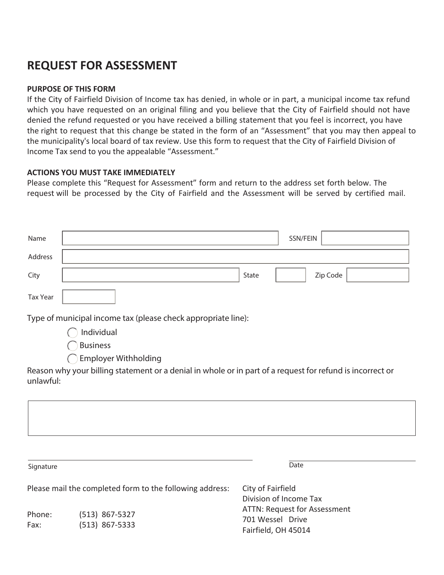## **REQUEST FOR ASSESSMENT**

## **PURPOSE OF THIS FORM**

If the City of Fairfield Division of Income tax has denied, in whole or in part, a municipal income tax refund which you have requested on an original filing and you believe that the City of Fairfield should not have denied the refund requested or you have received a billing statement that you feel is incorrect, you have the right to request that this change be stated in the form of an "Assessment" that you may then appeal to the municipality's local board of tax review. Use this form to request that the City of Fairfield Division of Income Tax send to you the appealable "Assessment."

## **ACTIONS YOU MUST TAKE IMMEDIATELY**

Please complete this "Request for Assessment" form and return to the address set forth below. The request will be processed by the City of Fairfield and the Assessment will be served by certified mail.

| Name                                                                                                                   |                             | SSN/FEIN |          |
|------------------------------------------------------------------------------------------------------------------------|-----------------------------|----------|----------|
| Address                                                                                                                |                             |          |          |
| City                                                                                                                   | State                       |          | Zip Code |
| <b>Tax Year</b>                                                                                                        |                             |          |          |
| Type of municipal income tax (please check appropriate line):                                                          |                             |          |          |
|                                                                                                                        | Individual                  |          |          |
|                                                                                                                        | <b>Business</b>             |          |          |
|                                                                                                                        | <b>Employer Withholding</b> |          |          |
| Reason why your billing statement or a denial in whole or in part of a request for refund is incorrect or<br>unlawful: |                             |          |          |
|                                                                                                                        |                             |          |          |
|                                                                                                                        |                             |          |          |
|                                                                                                                        |                             |          |          |

Please mail the completed form to the following address: Signature **Date** City of Fairfield Division of Income Tax ATTN: Request for Assessment 701 Wessel Drive Fairfield, OH 45014 Phone: Fax: (513) 867-5327 (513) 867-5333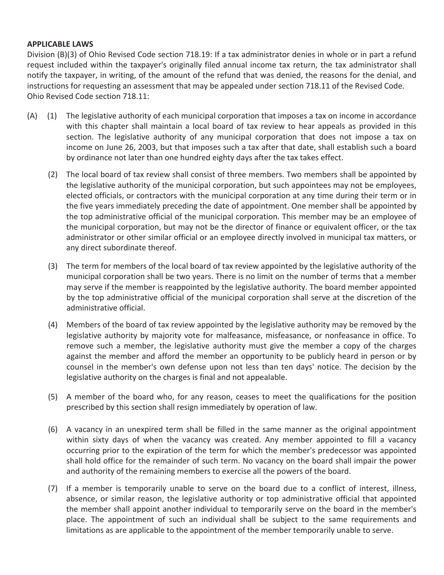## **APPLICABLE LAWS**

Division (B)(3) of Ohio Revised Code section 718.19: If a tax administrator denies in whole or in part a refund request included within the taxpayer's originally filed annual income tax return, the tax administrator shall notify the taxpayer, in writing, of the amount of the refund that was denied, the reasons for the denial, and instructions for requesting an assessment that may be appealed under section 718.11 of the Revised Code. Ohio Revised Code section 718.11:

- The legislative authority of each municipal corporation that imposes a tax on income in accordance with this chapter shall maintain a local board of tax review to hear appeals as provided in this section. The legislative authority of any municipal corporation that does not impose a tax on income on June 26, 2003, but that imposes such a tax after that date, shall establish such a board by ordinance not later than one hundred eighty days after the tax takes effect. (A) (1)
	- (2) The local board of tax review shall consist of three members. Two members shall be appointed by the legislative authority of the municipal corporation, but such appointees may not be employees, elected officials, or contractors with the municipal corporation at any time during their term or in the five years immediately preceding the date of appointment. One member shall be appointed by the top administrative official of the municipal corporation. This member may be an employee of the municipal corporation, but may not be the director of finance or equivalent officer, or the tax administrator or other similar official or an employee directly involved in municipal tax matters, or any direct subordinate thereof.
	- The term for members of the local board of tax review appointed by the legislative authority of the (3) municipal corporation shall be two years. There is no limit on the number of terms that a member may serve if the member is reappointed by the legislative authority. The board member appointed by the top administrative official of the municipal corporation shall serve at the discretion of the administrative official.
	- (4) Members of the board of tax review appointed by the legislative authority may be removed by the legislative authority by majority vote for malfeasance, misfeasance, or nonfeasance in office. To remove such a member, the legislative authority must give the member a copy of the charges against the member and afford the member an opportunity to be publicly heard in person or by counsel in the member's own defense upon not less than ten days' notice. The decision by the legislative authority on the charges is final and not appealable.
	- (5) A member of the board who, for any reason, ceases to meet the qualifications for the position prescribed by this section shall resign immediately by operation of law.
	- (6) A vacancy in an unexpired term shall be filled in the same manner as the original appointment within sixty days of when the vacancy was created. Any member appointed to fill a vacancy occurring prior to the expiration of the term for which the member's predecessor was appointed shall hold office for the remainder of such term. No vacancy on the board shall impair the power and authority of the remaining members to exercise all the powers of the board.
		- (7) If a member is temporarily unable to serve on the board due to a conflict of interest, illness, absence, or similar reason, the legislative authority or top administrative official that appointed the member shall appoint another individual to temporarily serve on the board in the member's place. The appointment of such an individual shall be subject to the same requirements and limitations as are applicable to the appointment of the member temporarily unable to serve.